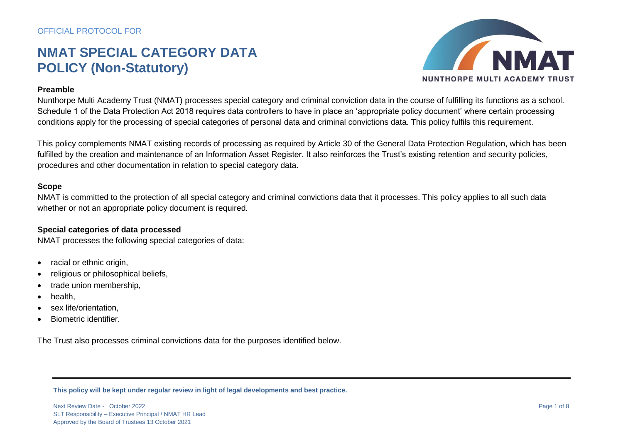

### **Preamble**

Nunthorpe Multi Academy Trust (NMAT) processes special category and criminal conviction data in the course of fulfilling its functions as a school. Schedule 1 of the Data Protection Act 2018 requires data controllers to have in place an 'appropriate policy document' where certain processing conditions apply for the processing of special categories of personal data and criminal convictions data. This policy fulfils this requirement.

This policy complements NMAT existing records of processing as required by Article 30 of the General Data Protection Regulation, which has been fulfilled by the creation and maintenance of an Information Asset Register. It also reinforces the Trust's existing retention and security policies, procedures and other documentation in relation to special category data.

### **Scope**

NMAT is committed to the protection of all special category and criminal convictions data that it processes. This policy applies to all such data whether or not an appropriate policy document is required.

#### **Special categories of data processed**

NMAT processes the following special categories of data:

- racial or ethnic origin,
- religious or philosophical beliefs.
- trade union membership,
- health,
- sex life/orientation,
- Biometric identifier.

The Trust also processes criminal convictions data for the purposes identified below.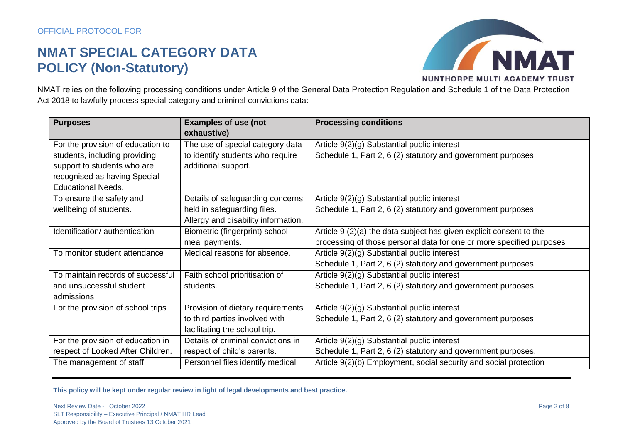

NMAT relies on the following processing conditions under Article 9 of the General Data Protection Regulation and Schedule 1 of the Data Protection Act 2018 to lawfully process special category and criminal convictions data:

| <b>Purposes</b>                   | <b>Examples of use (not</b>         | <b>Processing conditions</b>                                         |
|-----------------------------------|-------------------------------------|----------------------------------------------------------------------|
|                                   | exhaustive)                         |                                                                      |
| For the provision of education to | The use of special category data    | Article 9(2)(g) Substantial public interest                          |
| students, including providing     | to identify students who require    | Schedule 1, Part 2, 6 (2) statutory and government purposes          |
| support to students who are       | additional support.                 |                                                                      |
| recognised as having Special      |                                     |                                                                      |
| <b>Educational Needs.</b>         |                                     |                                                                      |
| To ensure the safety and          | Details of safeguarding concerns    | Article 9(2)(g) Substantial public interest                          |
| wellbeing of students.            | held in safeguarding files.         | Schedule 1, Part 2, 6 (2) statutory and government purposes          |
|                                   | Allergy and disability information. |                                                                      |
| Identification/ authentication    | Biometric (fingerprint) school      | Article 9 (2)(a) the data subject has given explicit consent to the  |
|                                   | meal payments.                      | processing of those personal data for one or more specified purposes |
| To monitor student attendance     | Medical reasons for absence.        | Article 9(2)(g) Substantial public interest                          |
|                                   |                                     | Schedule 1, Part 2, 6 (2) statutory and government purposes          |
| To maintain records of successful | Faith school prioritisation of      | Article 9(2)(g) Substantial public interest                          |
| and unsuccessful student          | students.                           | Schedule 1, Part 2, 6 (2) statutory and government purposes          |
| admissions                        |                                     |                                                                      |
| For the provision of school trips | Provision of dietary requirements   | Article 9(2)(g) Substantial public interest                          |
|                                   | to third parties involved with      | Schedule 1, Part 2, 6 (2) statutory and government purposes          |
|                                   | facilitating the school trip.       |                                                                      |
| For the provision of education in | Details of criminal convictions in  | Article 9(2)(g) Substantial public interest                          |
| respect of Looked After Children. | respect of child's parents.         | Schedule 1, Part 2, 6 (2) statutory and government purposes.         |
| The management of staff           | Personnel files identify medical    | Article 9(2)(b) Employment, social security and social protection    |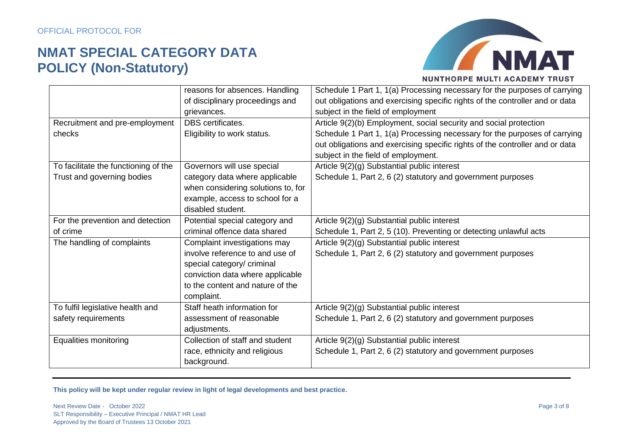

|                                      | reasons for absences. Handling     | Schedule 1 Part 1, 1(a) Processing necessary for the purposes of carrying    |
|--------------------------------------|------------------------------------|------------------------------------------------------------------------------|
|                                      | of disciplinary proceedings and    | out obligations and exercising specific rights of the controller and or data |
|                                      | grievances.                        | subject in the field of employment                                           |
| Recruitment and pre-employment       | DBS certificates.                  | Article 9(2)(b) Employment, social security and social protection            |
| checks                               | Eligibility to work status.        | Schedule 1 Part 1, 1(a) Processing necessary for the purposes of carrying    |
|                                      |                                    | out obligations and exercising specific rights of the controller and or data |
|                                      |                                    | subject in the field of employment.                                          |
| To facilitate the functioning of the | Governors will use special         | Article 9(2)(g) Substantial public interest                                  |
| Trust and governing bodies           | category data where applicable     | Schedule 1, Part 2, 6 (2) statutory and government purposes                  |
|                                      | when considering solutions to, for |                                                                              |
|                                      | example, access to school for a    |                                                                              |
|                                      | disabled student.                  |                                                                              |
| For the prevention and detection     | Potential special category and     | Article 9(2)(g) Substantial public interest                                  |
| of crime                             | criminal offence data shared       | Schedule 1, Part 2, 5 (10). Preventing or detecting unlawful acts            |
| The handling of complaints           | Complaint investigations may       | Article 9(2)(g) Substantial public interest                                  |
|                                      | involve reference to and use of    | Schedule 1, Part 2, 6 (2) statutory and government purposes                  |
|                                      | special category/ criminal         |                                                                              |
|                                      | conviction data where applicable   |                                                                              |
|                                      | to the content and nature of the   |                                                                              |
|                                      | complaint.                         |                                                                              |
| To fulfil legislative health and     | Staff heath information for        | Article 9(2)(g) Substantial public interest                                  |
| safety requirements                  | assessment of reasonable           | Schedule 1, Part 2, 6 (2) statutory and government purposes                  |
|                                      | adjustments.                       |                                                                              |
| <b>Equalities monitoring</b>         | Collection of staff and student    | Article 9(2)(g) Substantial public interest                                  |
|                                      | race, ethnicity and religious      | Schedule 1, Part 2, 6 (2) statutory and government purposes                  |
|                                      | background.                        |                                                                              |
|                                      |                                    |                                                                              |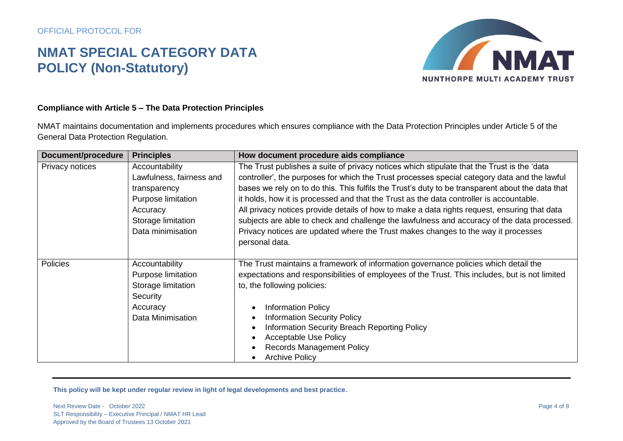

### **Compliance with Article 5 – The Data Protection Principles**

NMAT maintains documentation and implements procedures which ensures compliance with the Data Protection Principles under Article 5 of the General Data Protection Regulation.

| Document/procedure | <b>Principles</b>        | How document procedure aids compliance                                                           |
|--------------------|--------------------------|--------------------------------------------------------------------------------------------------|
| Privacy notices    | Accountability           | The Trust publishes a suite of privacy notices which stipulate that the Trust is the 'data       |
|                    | Lawfulness, fairness and | controller', the purposes for which the Trust processes special category data and the lawful     |
|                    | transparency             | bases we rely on to do this. This fulfils the Trust's duty to be transparent about the data that |
|                    | Purpose limitation       | it holds, how it is processed and that the Trust as the data controller is accountable.          |
|                    | Accuracy                 | All privacy notices provide details of how to make a data rights request, ensuring that data     |
|                    | Storage limitation       | subjects are able to check and challenge the lawfulness and accuracy of the data processed.      |
|                    | Data minimisation        | Privacy notices are updated where the Trust makes changes to the way it processes                |
|                    |                          | personal data.                                                                                   |
|                    |                          |                                                                                                  |
| <b>Policies</b>    | Accountability           | The Trust maintains a framework of information governance policies which detail the              |
|                    | Purpose limitation       | expectations and responsibilities of employees of the Trust. This includes, but is not limited   |
|                    | Storage limitation       | to, the following policies:                                                                      |
|                    | Security                 |                                                                                                  |
|                    | Accuracy                 | <b>Information Policy</b>                                                                        |
|                    | Data Minimisation        | <b>Information Security Policy</b>                                                               |
|                    |                          | Information Security Breach Reporting Policy                                                     |
|                    |                          | <b>Acceptable Use Policy</b>                                                                     |
|                    |                          | <b>Records Management Policy</b>                                                                 |
|                    |                          | <b>Archive Policy</b>                                                                            |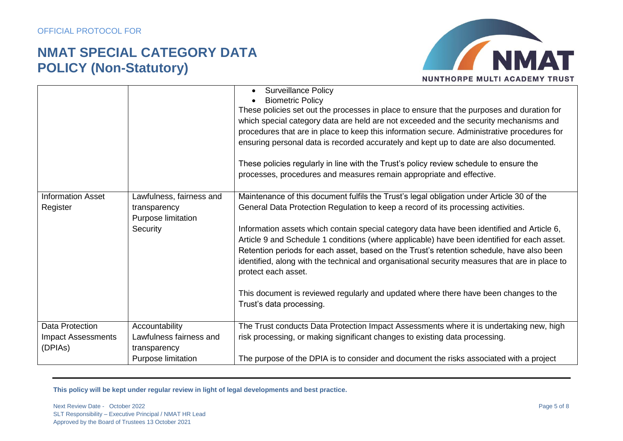

|                                                                |                                                                                 | <b>Surveillance Policy</b><br><b>Biometric Policy</b><br>These policies set out the processes in place to ensure that the purposes and duration for<br>which special category data are held are not exceeded and the security mechanisms and<br>procedures that are in place to keep this information secure. Administrative procedures for<br>ensuring personal data is recorded accurately and kept up to date are also documented.<br>These policies regularly in line with the Trust's policy review schedule to ensure the<br>processes, procedures and measures remain appropriate and effective.                                                                                                               |
|----------------------------------------------------------------|---------------------------------------------------------------------------------|-----------------------------------------------------------------------------------------------------------------------------------------------------------------------------------------------------------------------------------------------------------------------------------------------------------------------------------------------------------------------------------------------------------------------------------------------------------------------------------------------------------------------------------------------------------------------------------------------------------------------------------------------------------------------------------------------------------------------|
| <b>Information Asset</b><br>Register                           | Lawfulness, fairness and<br>transparency<br>Purpose limitation<br>Security      | Maintenance of this document fulfils the Trust's legal obligation under Article 30 of the<br>General Data Protection Regulation to keep a record of its processing activities.<br>Information assets which contain special category data have been identified and Article 6,<br>Article 9 and Schedule 1 conditions (where applicable) have been identified for each asset.<br>Retention periods for each asset, based on the Trust's retention schedule, have also been<br>identified, along with the technical and organisational security measures that are in place to<br>protect each asset.<br>This document is reviewed regularly and updated where there have been changes to the<br>Trust's data processing. |
| <b>Data Protection</b><br><b>Impact Assessments</b><br>(DPIAs) | Accountability<br>Lawfulness fairness and<br>transparency<br>Purpose limitation | The Trust conducts Data Protection Impact Assessments where it is undertaking new, high<br>risk processing, or making significant changes to existing data processing.<br>The purpose of the DPIA is to consider and document the risks associated with a project                                                                                                                                                                                                                                                                                                                                                                                                                                                     |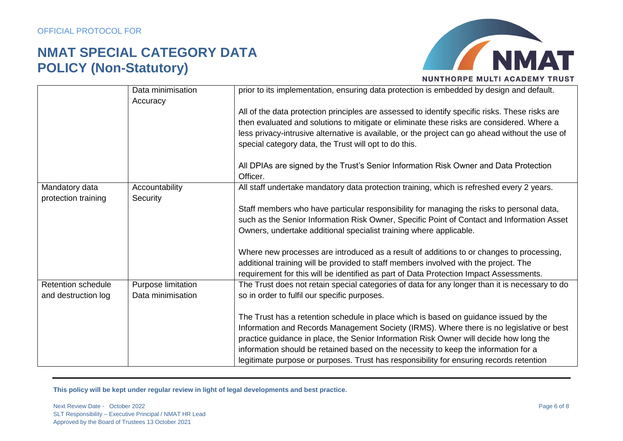

|                           | Data minimisation  | prior to its implementation, ensuring data protection is embedded by design and default.        |
|---------------------------|--------------------|-------------------------------------------------------------------------------------------------|
|                           | Accuracy           |                                                                                                 |
|                           |                    | All of the data protection principles are assessed to identify specific risks. These risks are  |
|                           |                    | then evaluated and solutions to mitigate or eliminate these risks are considered. Where a       |
|                           |                    | less privacy-intrusive alternative is available, or the project can go ahead without the use of |
|                           |                    |                                                                                                 |
|                           |                    | special category data, the Trust will opt to do this.                                           |
|                           |                    | All DPIAs are signed by the Trust's Senior Information Risk Owner and Data Protection           |
|                           |                    | Officer.                                                                                        |
| Mandatory data            | Accountability     | All staff undertake mandatory data protection training, which is refreshed every 2 years.       |
| protection training       | Security           |                                                                                                 |
|                           |                    | Staff members who have particular responsibility for managing the risks to personal data,       |
|                           |                    | such as the Senior Information Risk Owner, Specific Point of Contact and Information Asset      |
|                           |                    | Owners, undertake additional specialist training where applicable.                              |
|                           |                    |                                                                                                 |
|                           |                    | Where new processes are introduced as a result of additions to or changes to processing,        |
|                           |                    | additional training will be provided to staff members involved with the project. The            |
|                           |                    | requirement for this will be identified as part of Data Protection Impact Assessments.          |
|                           |                    |                                                                                                 |
| <b>Retention schedule</b> | Purpose limitation | The Trust does not retain special categories of data for any longer than it is necessary to do  |
| and destruction log       | Data minimisation  | so in order to fulfil our specific purposes.                                                    |
|                           |                    |                                                                                                 |
|                           |                    | The Trust has a retention schedule in place which is based on guidance issued by the            |
|                           |                    | Information and Records Management Society (IRMS). Where there is no legislative or best        |
|                           |                    | practice guidance in place, the Senior Information Risk Owner will decide how long the          |
|                           |                    | information should be retained based on the necessity to keep the information for a             |
|                           |                    | legitimate purpose or purposes. Trust has responsibility for ensuring records retention         |
|                           |                    |                                                                                                 |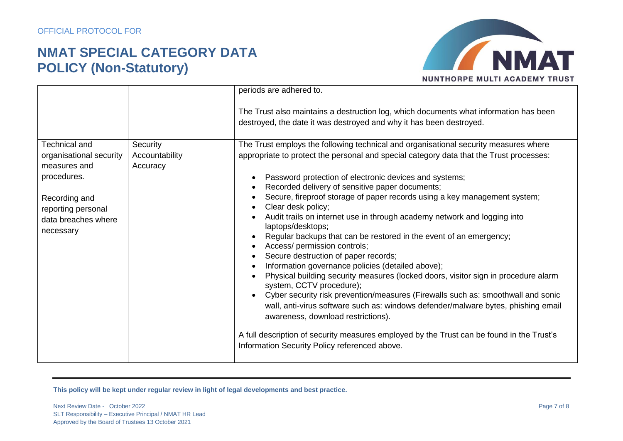

|                         |                | periods are adhered to.                                                                                                                                      |
|-------------------------|----------------|--------------------------------------------------------------------------------------------------------------------------------------------------------------|
|                         |                | The Trust also maintains a destruction log, which documents what information has been<br>destroyed, the date it was destroyed and why it has been destroyed. |
| <b>Technical and</b>    | Security       | The Trust employs the following technical and organisational security measures where                                                                         |
| organisational security | Accountability | appropriate to protect the personal and special category data that the Trust processes:                                                                      |
| measures and            | Accuracy       |                                                                                                                                                              |
| procedures.             |                | Password protection of electronic devices and systems;                                                                                                       |
|                         |                | Recorded delivery of sensitive paper documents;                                                                                                              |
| Recording and           |                | Secure, fireproof storage of paper records using a key management system;                                                                                    |
| reporting personal      |                | Clear desk policy;                                                                                                                                           |
| data breaches where     |                | Audit trails on internet use in through academy network and logging into<br>laptops/desktops;                                                                |
| necessary               |                | Regular backups that can be restored in the event of an emergency;                                                                                           |
|                         |                | Access/ permission controls;                                                                                                                                 |
|                         |                | Secure destruction of paper records;                                                                                                                         |
|                         |                | Information governance policies (detailed above);                                                                                                            |
|                         |                | Physical building security measures (locked doors, visitor sign in procedure alarm<br>system, CCTV procedure);                                               |
|                         |                | Cyber security risk prevention/measures (Firewalls such as: smoothwall and sonic                                                                             |
|                         |                | wall, anti-virus software such as: windows defender/malware bytes, phishing email                                                                            |
|                         |                | awareness, download restrictions).                                                                                                                           |
|                         |                | A full description of security measures employed by the Trust can be found in the Trust's<br>Information Security Policy referenced above.                   |